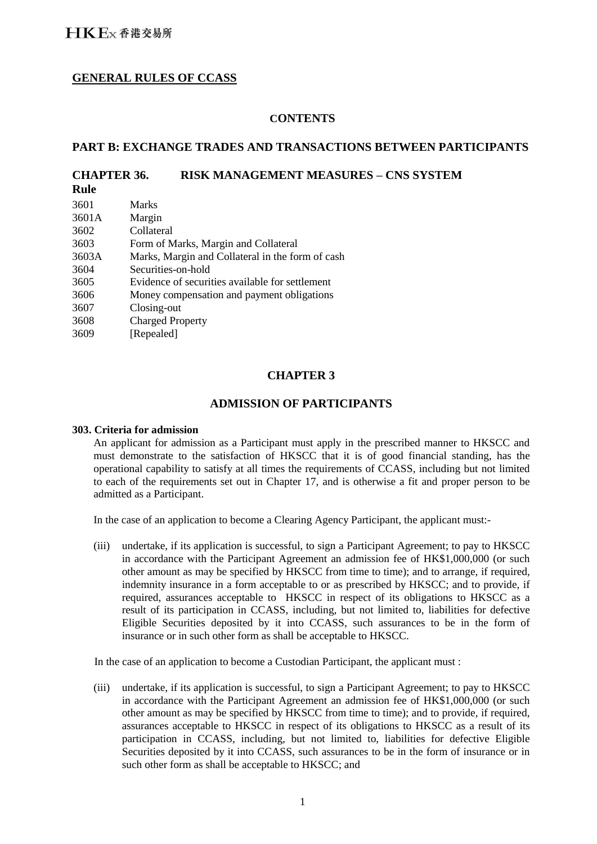# **GENERAL RULES OF CCASS**

## **CONTENTS**

## **PART B: EXCHANGE TRADES AND TRANSACTIONS BETWEEN PARTICIPANTS**

## **CHAPTER 36. RISK MANAGEMENT MEASURES – CNS SYSTEM**

**Rule**

| 3601  | <b>Marks</b>                                     |
|-------|--------------------------------------------------|
| 3601A | Margin                                           |
| 3602  | Collateral                                       |
| 3603  | Form of Marks, Margin and Collateral             |
| 3603A | Marks, Margin and Collateral in the form of cash |
| 3604  | Securities-on-hold                               |
| 3605  | Evidence of securities available for settlement  |
| 3606  | Money compensation and payment obligations       |
| 3607  | Closing-out                                      |
| 3608  | <b>Charged Property</b>                          |
| 3609  | [Repealed]                                       |
|       |                                                  |

# **CHAPTER 3**

### **ADMISSION OF PARTICIPANTS**

#### **303. Criteria for admission**

An applicant for admission as a Participant must apply in the prescribed manner to HKSCC and must demonstrate to the satisfaction of HKSCC that it is of good financial standing, has the operational capability to satisfy at all times the requirements of CCASS, including but not limited to each of the requirements set out in Chapter 17, and is otherwise a fit and proper person to be admitted as a Participant.

In the case of an application to become a Clearing Agency Participant, the applicant must:-

(iii) undertake, if its application is successful, to sign a Participant Agreement; to pay to HKSCC in accordance with the Participant Agreement an admission fee of HK\$1,000,000 (or such other amount as may be specified by HKSCC from time to time); and to arrange, if required, indemnity insurance in a form acceptable to or as prescribed by HKSCC; and to provide, if required, assurances acceptable to HKSCC in respect of its obligations to HKSCC as a result of its participation in CCASS, including, but not limited to, liabilities for defective Eligible Securities deposited by it into CCASS, such assurances to be in the form of insurance or in such other form as shall be acceptable to HKSCC.

In the case of an application to become a Custodian Participant, the applicant must :

(iii) undertake, if its application is successful, to sign a Participant Agreement; to pay to HKSCC in accordance with the Participant Agreement an admission fee of HK\$1,000,000 (or such other amount as may be specified by HKSCC from time to time); and to provide, if required, assurances acceptable to HKSCC in respect of its obligations to HKSCC as a result of its participation in CCASS, including, but not limited to, liabilities for defective Eligible Securities deposited by it into CCASS, such assurances to be in the form of insurance or in such other form as shall be acceptable to HKSCC; and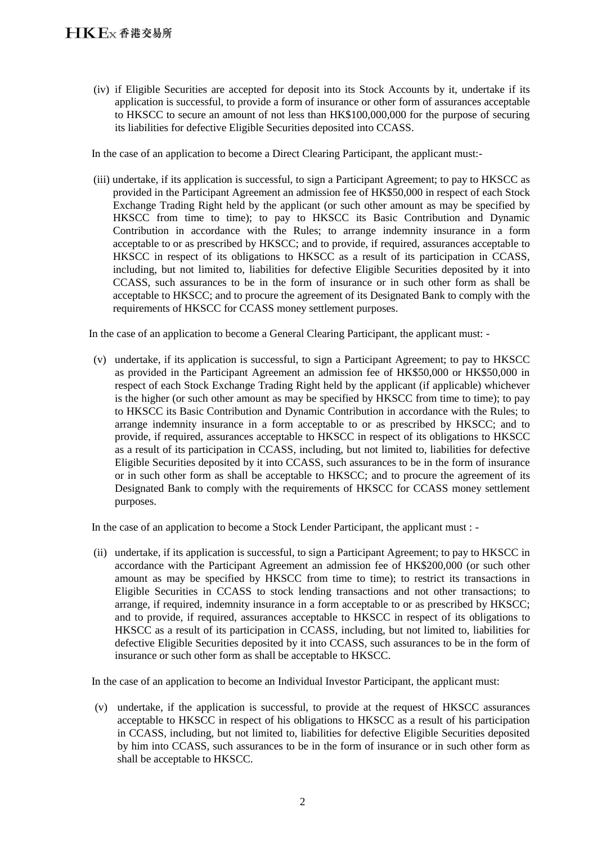(iv) if Eligible Securities are accepted for deposit into its Stock Accounts by it, undertake if its application is successful, to provide a form of insurance or other form of assurances acceptable to HKSCC to secure an amount of not less than HK\$100,000,000 for the purpose of securing its liabilities for defective Eligible Securities deposited into CCASS.

In the case of an application to become a Direct Clearing Participant, the applicant must:-

(iii) undertake, if its application is successful, to sign a Participant Agreement; to pay to HKSCC as provided in the Participant Agreement an admission fee of HK\$50,000 in respect of each Stock Exchange Trading Right held by the applicant (or such other amount as may be specified by HKSCC from time to time); to pay to HKSCC its Basic Contribution and Dynamic Contribution in accordance with the Rules; to arrange indemnity insurance in a form acceptable to or as prescribed by HKSCC; and to provide, if required, assurances acceptable to HKSCC in respect of its obligations to HKSCC as a result of its participation in CCASS, including, but not limited to, liabilities for defective Eligible Securities deposited by it into CCASS, such assurances to be in the form of insurance or in such other form as shall be acceptable to HKSCC; and to procure the agreement of its Designated Bank to comply with the requirements of HKSCC for CCASS money settlement purposes.

In the case of an application to become a General Clearing Participant, the applicant must: -

(v) undertake, if its application is successful, to sign a Participant Agreement; to pay to HKSCC as provided in the Participant Agreement an admission fee of HK\$50,000 or HK\$50,000 in respect of each Stock Exchange Trading Right held by the applicant (if applicable) whichever is the higher (or such other amount as may be specified by HKSCC from time to time); to pay to HKSCC its Basic Contribution and Dynamic Contribution in accordance with the Rules; to arrange indemnity insurance in a form acceptable to or as prescribed by HKSCC; and to provide, if required, assurances acceptable to HKSCC in respect of its obligations to HKSCC as a result of its participation in CCASS, including, but not limited to, liabilities for defective Eligible Securities deposited by it into CCASS, such assurances to be in the form of insurance or in such other form as shall be acceptable to HKSCC; and to procure the agreement of its Designated Bank to comply with the requirements of HKSCC for CCASS money settlement purposes.

In the case of an application to become a Stock Lender Participant, the applicant must : -

(ii) undertake, if its application is successful, to sign a Participant Agreement; to pay to HKSCC in accordance with the Participant Agreement an admission fee of HK\$200,000 (or such other amount as may be specified by HKSCC from time to time); to restrict its transactions in Eligible Securities in CCASS to stock lending transactions and not other transactions; to arrange, if required, indemnity insurance in a form acceptable to or as prescribed by HKSCC; and to provide, if required, assurances acceptable to HKSCC in respect of its obligations to HKSCC as a result of its participation in CCASS, including, but not limited to, liabilities for defective Eligible Securities deposited by it into CCASS, such assurances to be in the form of insurance or such other form as shall be acceptable to HKSCC.

In the case of an application to become an Individual Investor Participant, the applicant must:

(v) undertake, if the application is successful, to provide at the request of HKSCC assurances acceptable to HKSCC in respect of his obligations to HKSCC as a result of his participation in CCASS, including, but not limited to, liabilities for defective Eligible Securities deposited by him into CCASS, such assurances to be in the form of insurance or in such other form as shall be acceptable to HKSCC.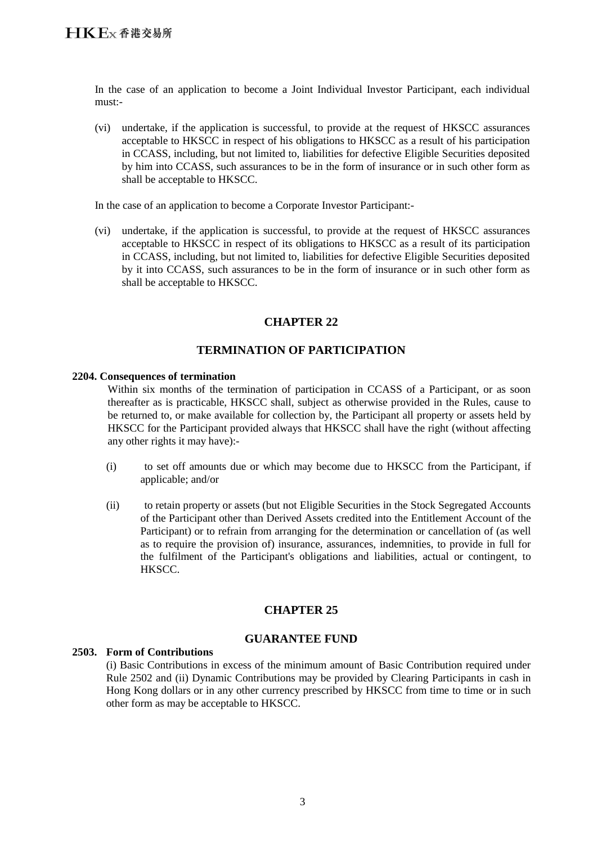In the case of an application to become a Joint Individual Investor Participant, each individual must:-

(vi) undertake, if the application is successful, to provide at the request of HKSCC assurances acceptable to HKSCC in respect of his obligations to HKSCC as a result of his participation in CCASS, including, but not limited to, liabilities for defective Eligible Securities deposited by him into CCASS, such assurances to be in the form of insurance or in such other form as shall be acceptable to HKSCC.

In the case of an application to become a Corporate Investor Participant:-

(vi) undertake, if the application is successful, to provide at the request of HKSCC assurances acceptable to HKSCC in respect of its obligations to HKSCC as a result of its participation in CCASS, including, but not limited to, liabilities for defective Eligible Securities deposited by it into CCASS, such assurances to be in the form of insurance or in such other form as shall be acceptable to HKSCC.

# **CHAPTER 22**

# **TERMINATION OF PARTICIPATION**

#### **2204. Consequences of termination**

Within six months of the termination of participation in CCASS of a Participant, or as soon thereafter as is practicable, HKSCC shall, subject as otherwise provided in the Rules, cause to be returned to, or make available for collection by, the Participant all property or assets held by HKSCC for the Participant provided always that HKSCC shall have the right (without affecting any other rights it may have):-

- (i) to set off amounts due or which may become due to HKSCC from the Participant, if applicable; and/or
- (ii) to retain property or assets (but not Eligible Securities in the Stock Segregated Accounts of the Participant other than Derived Assets credited into the Entitlement Account of the Participant) or to refrain from arranging for the determination or cancellation of (as well as to require the provision of) insurance, assurances, indemnities, to provide in full for the fulfilment of the Participant's obligations and liabilities, actual or contingent, to HKSCC.

## **CHAPTER 25**

## **GUARANTEE FUND**

### **2503. Form of Contributions**

(i) Basic Contributions in excess of the minimum amount of Basic Contribution required under Rule 2502 and (ii) Dynamic Contributions may be provided by Clearing Participants in cash in Hong Kong dollars or in any other currency prescribed by HKSCC from time to time or in such other form as may be acceptable to HKSCC.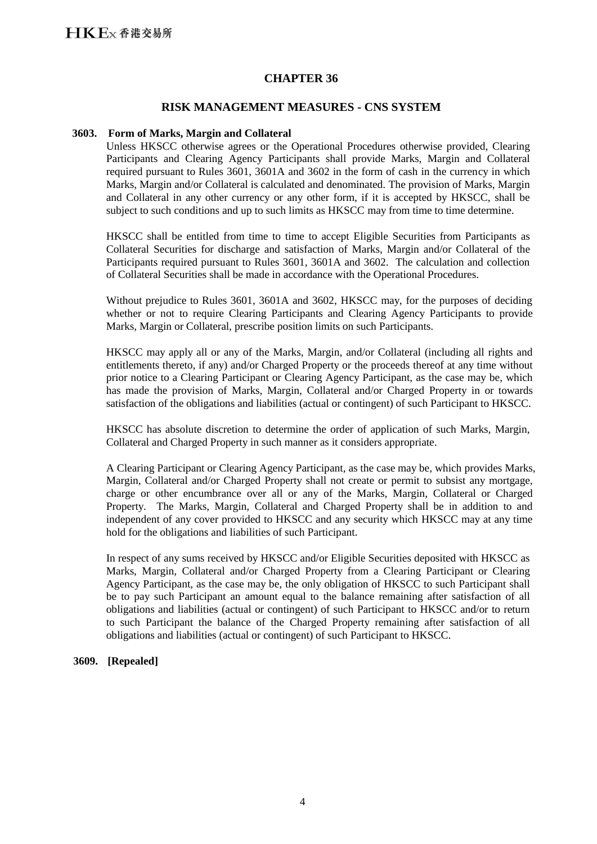### **CHAPTER 36**

### **RISK MANAGEMENT MEASURES - CNS SYSTEM**

#### **3603. Form of Marks, Margin and Collateral**

Unless HKSCC otherwise agrees or the Operational Procedures otherwise provided, Clearing Participants and Clearing Agency Participants shall provide Marks, Margin and Collateral required pursuant to Rules 3601, 3601A and 3602 in the form of cash in the currency in which Marks, Margin and/or Collateral is calculated and denominated. The provision of Marks, Margin and Collateral in any other currency or any other form, if it is accepted by HKSCC, shall be subject to such conditions and up to such limits as HKSCC may from time to time determine.

HKSCC shall be entitled from time to time to accept Eligible Securities from Participants as Collateral Securities for discharge and satisfaction of Marks, Margin and/or Collateral of the Participants required pursuant to Rules 3601, 3601A and 3602. The calculation and collection of Collateral Securities shall be made in accordance with the Operational Procedures.

Without prejudice to Rules 3601, 3601A and 3602, HKSCC may, for the purposes of deciding whether or not to require Clearing Participants and Clearing Agency Participants to provide Marks, Margin or Collateral, prescribe position limits on such Participants.

HKSCC may apply all or any of the Marks, Margin, and/or Collateral (including all rights and entitlements thereto, if any) and/or Charged Property or the proceeds thereof at any time without prior notice to a Clearing Participant or Clearing Agency Participant, as the case may be, which has made the provision of Marks, Margin, Collateral and/or Charged Property in or towards satisfaction of the obligations and liabilities (actual or contingent) of such Participant to HKSCC.

HKSCC has absolute discretion to determine the order of application of such Marks, Margin, Collateral and Charged Property in such manner as it considers appropriate.

A Clearing Participant or Clearing Agency Participant, as the case may be, which provides Marks, Margin, Collateral and/or Charged Property shall not create or permit to subsist any mortgage, charge or other encumbrance over all or any of the Marks, Margin, Collateral or Charged Property. The Marks, Margin, Collateral and Charged Property shall be in addition to and independent of any cover provided to HKSCC and any security which HKSCC may at any time hold for the obligations and liabilities of such Participant.

In respect of any sums received by HKSCC and/or Eligible Securities deposited with HKSCC as Marks, Margin, Collateral and/or Charged Property from a Clearing Participant or Clearing Agency Participant, as the case may be, the only obligation of HKSCC to such Participant shall be to pay such Participant an amount equal to the balance remaining after satisfaction of all obligations and liabilities (actual or contingent) of such Participant to HKSCC and/or to return to such Participant the balance of the Charged Property remaining after satisfaction of all obligations and liabilities (actual or contingent) of such Participant to HKSCC.

#### **3609. [Repealed]**